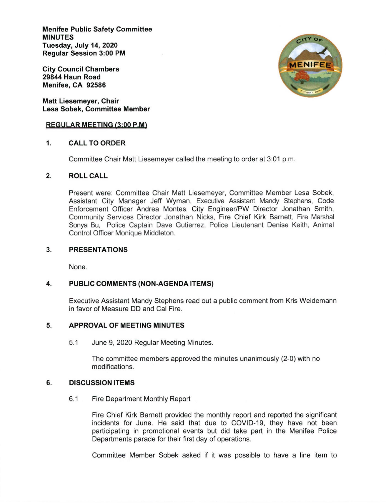Menifee Public Safety Committee MINUTES Tuesday, July 14,2020 Regular Session 3:00 PM

City Council Chambers 29844 Haun Road Menifee, CA 92586

Matt Liesemeyer, Chair Lesa Sobek, Committee Member

#### REGULAR MEETING (3:00 P.M)

## 1. CALLTOORDER

Committee Chair Matt Liesemeyer called the meeting to order at 3:01 p.m.

## 2. ROLLCALL

Present were: Committee Chair Matt Liesemeyer, Committee Member Lesa Sobek, Assistant City Manager Jeff Wyman, Executive Assistant Mandy Stephens, Code Enforcement Officer Andrea Montes, City Engineer/PW Director Jonathan Smith, Community Services Director Jonathan Nicks, Fire Chief Kirk Barnett, Fire Marshal Sonya Bu, Police Captain Dave Gutierrez, Police Lieutenant Denise Keith, Animal Control Officer Monique Middleton.

#### PRESENTATIONS 3

None.

#### PUBLIC COMMENTS (NON-AGENDA ITEMS) 4

Executive Assistant Mandy Stephens read out a public comment from Kris Weidemann in favor of Measure DD and Cal Fire.

### 5. APPROVALOF MEETING MINUTES

5.1 June 9, 2020 Regular Meeting Minutes.

The committee members approved the minutes unanimously (2-0) with no modifications.

## 6. DISCUSSION ITEMS

6.1 Fire Department Monthly Report

Fire Chief Kirk Barnett provided the monthly report and reported the significant incidents for June. He said that due to COVID-19, they have not been participating in promotional events but did take part in the Menifee Police Departments parade for their first day of operations.

Committee Member Sobek asked if it was possible to have a line item to

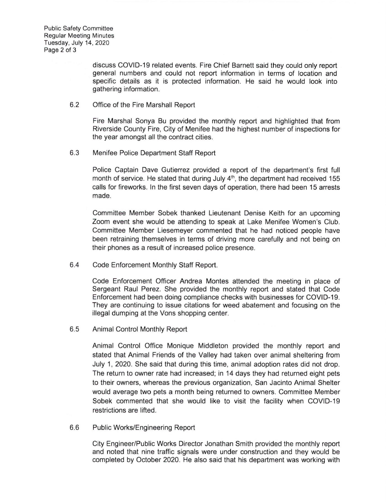discuss COVID-19 related events. Fire Chief Barnett said they could only report general numbers and could not report information in terms of location and specific details as it is protected information. He said he would look into gathering information.

#### 6.2 Office of the Fire Marshall Report

Fire Marshal Sonya Bu provided the monthly report and highlighted that from Riverside County Fire, City of Menifee had the highest number of inspections for the year amongst all the contract cities.

6.3 Menifee Police Department Staff Report

Police Captain Dave Gutierrez provided a report of the department's first full month of service. He stated that during July  $4<sup>th</sup>$ , the department had received 155 calls for fireworks. ln the first seven days of operation, there had been 15 arrests made.

Committee Member Sobek thanked Lieutenant Denise Keith for an upcoming Zoom event she would be attending to speak at Lake Menifee Women's Club. Committee Member Liesemeyer commented that he had noticed people have been retraining themselves in terms of driving more carefully and not being on their phones as a result of increased police presence.

6.4 Code Enforcement Monthly Staff Report

Code Enforcement Officer Andrea Montes attended the meeting in place of Sergeant Raul Perez. She provided the monthly report and stated that Code Enforcement had been doing compliance checks with businesses for COVID-19. They are continuing to issue citations for weed abatement and focusing on the illegal dumping at the Vons shopping center.

6.5 Animal Control Monthly Report

Animal Control Office Monique Middleton provided the monthly report and stated that Animal Friends of the Valley had taken over animal sheltering from July 1,2020. She said that during this time, animal adoption rates did not drop. The return to owner rate had increased, in 14 days they had returned eight pets to their owners, whereas the previous organization, San Jacinto Animal Shelter would average two pets a month being returned to owners. Committee Member Sobek commented that she would like to visit the facility when COVID-1g restrictions are lifted.

6.6 Public Works/Engineering Report

City Engineer/Public Works Director Jonathan Smith provided the monthly report and noted that nine traffic signals were under construction and they would be completed by October 2020. He also said that his department was working with